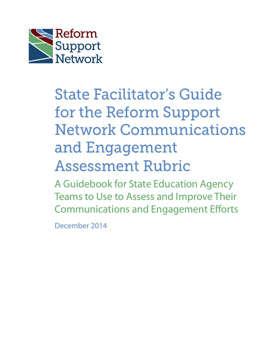

# State Facilitator's Guide for the Reform Support Network Communications and Engagement Assessment Rubric

A Guidebook for State Education Agency Teams to Use to Assess and Improve Their Communications and Engagement Efforts

December 2014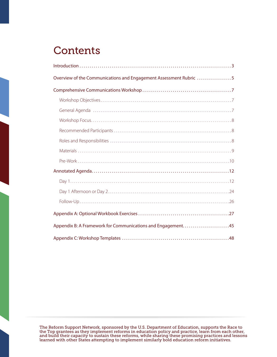# **Contents**

| $Introduction \dots 3$                                            |
|-------------------------------------------------------------------|
| Overview of the Communications and Engagement Assessment Rubric 5 |
|                                                                   |
|                                                                   |
|                                                                   |
|                                                                   |
|                                                                   |
|                                                                   |
|                                                                   |
|                                                                   |
|                                                                   |
|                                                                   |
|                                                                   |
|                                                                   |
|                                                                   |
|                                                                   |
|                                                                   |

The Reform Support Network, sponsored by the U.S. Department of Education, supports the Race to the Top grantees as they implement reforms in education policy and practice, learn from each other, and build their capacity to sustain these reforms, while sharing these promising practices and lessons learned with other States attempting to implement similarly bold education reform initiatives.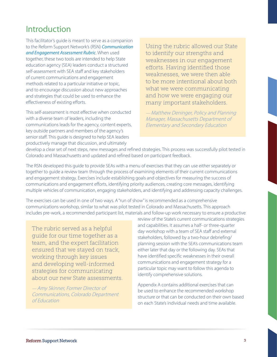### <span id="page-2-0"></span>Introduction

This facilitator's guide is meant to serve as a companion to the Reform Support Network's (RSN) *[Communication](http://www2.ed.gov/about/inits/ed/implementation-support-unit/tech-assist/communications-and-engagement-assessment-rubric.pdf)  [and Engagement Assessment Rubric](http://www2.ed.gov/about/inits/ed/implementation-support-unit/tech-assist/communications-and-engagement-assessment-rubric.pdf)* . When used together, these two tools are intended to help State education agency (SEA) leaders conduct a structured self-assessment with SEA staff and key stakeholders of current communications and engagement methods related to a particular initiative or topic, and to encourage discussion about new approaches and strategies that could be used to enhance the effectiveness of existing efforts.

This self-assessment is most effective when conducted with a diverse team of leaders, including the communications leads for the agency, content experts, key outside partners and members of the agency's senior staff. This quide is designed to help SEA leaders productively manage that discussion, and ultimately

Using the rubric allowed our State to identify our strengths and weaknesses in our engagement efforts. Having identified those weaknesses, we were then able to be more intentional about both what we were communicating and how we were engaging our many important stakeholders.

— Matthew Deninger, Policy and Planning Manager, Massachusetts Department of Elementary and Secondary Education

develop a clear set of next steps, new messages and refined strategies. This process was successfully pilot tested in Colorado and Massachusetts and updated and refined based on participant feedback .

The RSN developed this guide to provide SEAs with a menu of exercises that they can use either separately or together to guide a review team through the process of examining elements of their current communications and engagement strategy. Exercises include establishing goals and objectives for measuring the success of communications and engagement efforts, identifying priority audiences, creating core messages, identifying multiple vehicles of communication, engaging stakeholders, and identifying and addressing capacity challenges.

The exercises can be used in one of two ways. A "run of show" is recommended as a comprehensive communications workshop, similar to what was pilot tested in Colorado and Massachusetts . This approach includes pre-work, a recommended participant list, materials and follow-up work necessary to ensure a productive

The rubric served as a helpful guide for our time together as a team, and the expert facilitation ensured that we stayed on track, working through key issues and developing well-informed strategies for communicating about our new State assessments.

— Amy Skinner, Former Director of Communications, Colorado Department of Education

review of the State's current communications strategies and capabilities . It assumes a half- or three-quarter day workshop with a team of SEA staff and external stakeholders, followed by a two-hour debriefing/ planning session with the SEA's communications team either later that day or the following day. SEAs that have identified specific weaknesses in their overall communications and engagement strategy for a particular topic may want to follow this agenda to identify comprehensive solutions.

Appendix A contains additional exercises that can be used to enhance the recommended workshop structure or that can be conducted on their own based on each State's individual needs and time available .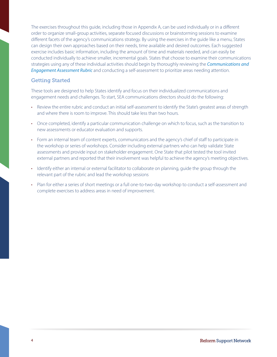The exercises throughout this guide, including those in Appendix A, can be used individually or in a different order to organize small-group activities, separate focused discussions or brainstorming sessions to examine different facets of the agency's communications strategy . By using the exercises in the guide like a menu, States can design their own approaches based on their needs, time available and desired outcomes . Each suggested exercise includes basic information, including the amount of time and materials needed, and can easily be conducted individually to achieve smaller, incremental goals . States that choose to examine their communications strategies using any of these individual activities should begin by thoroughly reviewing the *[Communications and](http://www2.ed.gov/about/inits/ed/implementation-support-unit/tech-assist/communications-and-engagement-assessment-rubric.pdf)  [Engagement Assessment Rubric](http://www2.ed.gov/about/inits/ed/implementation-support-unit/tech-assist/communications-and-engagement-assessment-rubric.pdf)* and conducting a self-assessment to prioritize areas needing attention.

#### Getting Started

These tools are designed to help States identify and focus on their individualized communications and engagement needs and challenges. To start, SEA communications directors should do the following:

- Review the entire rubric and conduct an initial self-assessment to identify the State's greatest areas of strength and where there is room to improve. This should take less than two hours.
- • Once completed, identify a particular communication challenge on which to focus, such as the transition to new assessments or educator evaluation and supports.
- Form an internal team of content experts, communicators and the agency's chief of staff to participate in the workshop or series of workshops. Consider including external partners who can help validate State assessments and provide input on stakeholder engagement . One State that pilot tested the tool invited external partners and reported that their involvement was helpful to achieve the agency's meeting objectives.
- Identify either an internal or external facilitator to collaborate on planning, quide the group through the relevant part of the rubric and lead the workshop sessions
- Plan for either a series of short meetings or a full one-to-two-day workshop to conduct a self-assessment and complete exercises to address areas in need of improvement.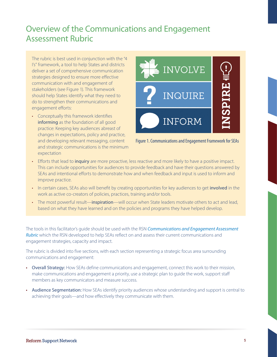### <span id="page-4-0"></span>Overview of the Communications and Engagement Assessment Rubric

The rubric is best used in conjunction with the "4 I's" framework, a tool to help States and districts deliver a set of comprehensive communication strategies designed to ensure more effective communication with and engagement of stakeholders (see Figure 1). This framework should help States identify what they need to do to strengthen their communications and engagement efforts:

• Conceptually this framework identifies informing as the foundation of all good practice: Keeping key audiences abreast of changes in expectations, policy and practice, and developing relevant messaging, content and strategic communications is the minimum expectation





- Efforts that lead to inquiry are more proactive, less reactive and more likely to have a positive impact. This can include opportunities for audiences to provide feedback and have their questions answered by SEAs and intentional efforts to demonstrate how and when feedback and input is used to inform and improve practice.
- In certain cases, SEAs also will benefit by creating opportunities for key audiences to get involved in the work as active co-creators of policies, practices, training and/or tools.
- The most powerful result—inspiration—will occur when State leaders motivate others to act and lead, based on what they have learned and on the policies and programs they have helped develop.

The tools in this facilitator's guide should be used with the RSN *[Communications and Engagement Assessment](http://www2.ed.gov/about/inits/ed/implementation-support-unit/tech-assist/communications-and-engagement-assessment-rubric.pdf)  [Rubric](http://www2.ed.gov/about/inits/ed/implementation-support-unit/tech-assist/communications-and-engagement-assessment-rubric.pdf)* which the RSN developed to help SEAs reflect on and assess their current communications and engagement strategies, capacity and impact.

The rubric is divided into five sections, with each section representing a strategic focus area surrounding communications and engagement:

- Overall Strategy: How SEAs define communications and engagement, connect this work to their mission, make communications and engagement a priority, use a strategic plan to guide the work, support staff members as key communicators and measure success .
- Audience Segmentation: How SEAs identify priority audiences whose understanding and support is central to achieving their goals—and how effectively they communicate with them.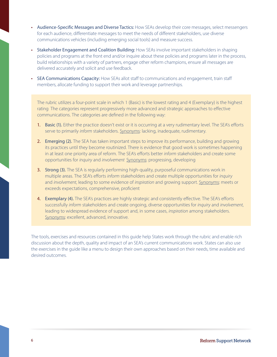- Audience-Specific Messages and Diverse Tactics: How SEAs develop their core messages, select messengers for each audience, differentiate messages to meet the needs of different stakeholders, use diverse communications vehicles (including emerging social tools) and measure success .
- Stakeholder Engagement and Coalition Building: How SEAs involve important stakeholders in shaping policies and programs at the front end and/or inquire about these policies and programs later in the process, build relationships with a variety of partners, engage other reform champions, ensure all messages are delivered accurately and solicit and use feedback.
- SEA Communications Capacity: How SEAs allot staff to communications and engagement, train staff members, allocate funding to support their work and leverage partnerships.

The rubric utilizes a four-point scale in which 1 (Basic) is the lowest rating and 4 (Exemplary) is the highest rating The categories represent progressively more advanced and strategic approaches to effective communications. The categories are defined in the following way:

- 1. Basic (1). Either the practice doesn't exist or it is occurring at a very rudimentary level. The SEA's efforts serve to primarily *inform* stakeholders. Synonyms: lacking, inadequate, rudimentary.
- **2. Emerging (2).** The SEA has taken important steps to improve its performance, building and growing its practices until they become routinized. There is evidence that good work is sometimes happening in at least one priority area of reform . The SEA's efforts better *inform* stakeholders and create some opportunities for *inquiry* and *involvement* Synonyms: progressing, developing
- **3.** Strong (3). The SEA is regularly performing high-quality, purposeful communications work in multiple areas . The SEA's efforts *inform* stakeholders and create multiple opportunities for *inquiry*  and *involvement*, leading to some evidence of *inspiration* and growing support. Synonyms: meets or exceeds expectations, comprehensive, proficient
- 4. Exemplary (4). The SEA's practices are highly strategic and consistently effective. The SEA's efforts successfully *inform* stakeholders and create ongoing, diverse opportunities for *inquiry* and *involvement*, leading to widespread evidence of support and, in some cases, *inspiration* among stakeholders . Synonyms: excellent, advanced, innovative.

The tools, exercises and resources contained in this guide help States work through the rubric and enable rich discussion about the depth, quality and impact of an SEA's current communications work . States can also use the exercises in the guide like a menu to design their own approaches based on their needs, time available and desired outcomes .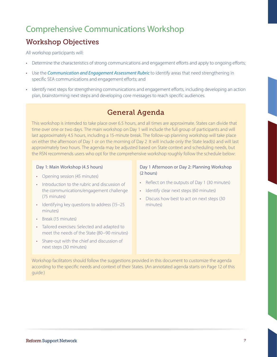### <span id="page-6-0"></span>Comprehensive Communications Workshop

### <span id="page-6-1"></span>Workshop Objectives

All workshop participants will:

- Determine the characteristics of strong communications and engagement efforts and apply to ongoing efforts;
- Use the *[Communication and Engagement Assessment Rubric](http://www2.ed.gov/about/inits/ed/implementation-support-unit/tech-assist/communications-and-engagement-assessment-rubric.pdf)* to identify areas that need strengthening in specific SEA communications and engagement efforts; and
- Identify next steps for strengthening communications and engagement efforts, including developing an action plan, brainstorming next steps and developing core messages to reach specific audiences .

### <span id="page-6-2"></span>General Agenda

This workshop is intended to take place over 6.5 hours, and all times are approximate. States can divide that time over one or two days. The main workshop on Day 1 will include the full group of participants and will last approximately 4 .5 hours, including a 15-minute break . The follow-up planning workshop will take place on either the afternoon of Day 1 or on the morning of Day 2 It will include only the State lead(s) and will last approximately two hours . The agenda may be adjusted based on State context and scheduling needs, but the RSN recommends users who opt for the comprehensive workshop roughly follow the schedule below:

- Opening session (45 minutes) **Fig. 12 Service 12 (2 hours)**
- Introduction to the rubric and discussion of  $\cdot$  Reflect on the outputs of Day 1 (30 minutes) the communications/engagement challenge (75 minutes)
- Identifying key questions to address (15–25 minutes) minutes)
- • Break (15 minutes)
- • Tailored exercises: Selected and adapted to meet the needs of the State (80−90 minutes)
- • Share-out with the chief and discussion of next steps (30 minutes)

# Day 1: Main Workshop (4.5 hours) Day 1 Afternoon or Day 2: Planning Workshop

- 
- Identify clear next steps (60 minutes)
- Discuss how best to act on next steps (30

Workshop facilitators should follow the suggestions provided in this document to customize the agenda according to the specific needs and context of their States . (An annotated agenda starts on Page 12 of this guide )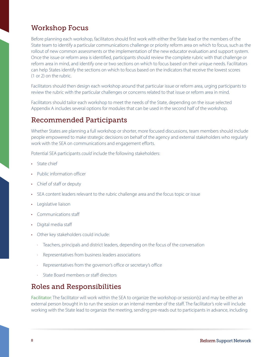### <span id="page-7-0"></span>Workshop Focus

Before planning each workshop, facilitators should first work with either the State lead or the members of the State team to identify a particular communications challenge or priority reform area on which to focus, such as the rollout of new common assessments or the implementation of the new educator evaluation and support system. Once the issue or reform area is identified, participants should review the complete rubric with that challenge or reform area in mind, and identify one or two sections on which to focus based on their unique needs . Facilitators can help States identify the sections on which to focus based on the indicators that receive the lowest scores  $(1 or 2)$  on the rubric.

Facilitators should then design each workshop around that particular issue or reform area, urging participants to

review the rubric with the particular challenges or concerns related to that issue or reform area in mind.<br>Facilitators should tailor each workshop to meet the needs of the State, depending on the issue selected Appendix A includes several options for modules that can be used in the second half of the workshop .

### <span id="page-7-1"></span>Recommended Participants

Whether States are planning a full workshop or shorter, more focused discussions, team members should include people empowered to make strategic decisions on behalf of the agency and external stakeholders who regularly work with the SEA on communications and engagement efforts.

Potential SEA participants *could* include the following stakeholders:

- State chief
- • Public information officer
- • Chief of staff or deputy
- SEA content leaders relevant to the rubric challenge area and the focus topic or issue
- Legislative liaison
- Communications staff
- Digital media staff
- Other key stakeholders could include:
	- Teachers, principals and district leaders, depending on the focus of the conversation
	- Representatives from business leaders associations
	- Representatives from the governor's office or secretary's office
	- State Board members or staff directors

### <span id="page-7-2"></span>Roles and Responsibilities

Facilitator: The facilitator will work within the SEA to organize the workshop or session(s) and may be either an external person brought in to run the session or an internal member of the staff. The facilitator's role will include working with the State lead to organize the meeting, sending pre-reads out to participants in advance, including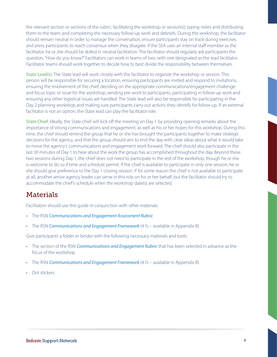the relevant section or sections of the rubric; facilitating the workshop or session(s); typing notes and distributing them to the team; and completing the necessary follow-up work and debriefs . During the workshop, the facilitator should remain neutral in order to manage the conversation, ensure participants stay on track during exercises and press participants to reach consensus when they disagree . If the SEA uses an internal staff member as the facilitator, he or she should be skilled in neutral facilitation . The facilitator should regularly ask participants the question, "How do you know?" Facilitators can work in teams of two, with one designated as the lead facilitator . Facilitator teams should work together to decide how to best divide the responsibility between themselves.

State Lead(s): The State lead will work closely with the facilitator to organize the workshop or session . This person will be responsible for securing a location, ensuring participants are invited and respond to invitations, ensuring the involvement of the chief, deciding on the appropriate communications/engagement challenge and focus topic or issue for the workshop, sending pre-work to participants, participating in follow-up work and ensuring any other logistical issues are handled. The State lead will also be responsible for participating in the Day 2 planning workshop and making sure participants carry out actions they identify for follow-up . If an external facilitator is not an option, the State lead can play the facilitator role.

State Chief: Ideally, the State chief will kick off the meeting on Day 1 by providing opening remarks about the importance of strong communications and engagement, as well as his or her hopes for this workshop. During this time, the chief should remind the group that he or she has brought the participants together to make strategic decisions for the agency, and that the group should aim to end the day with clear ideas about what it would take to move the agency's communications and engagement work forward . The chief should also participate in the last 30 minutes of Day 1 to hear about the work the group has accomplished throughout the day . Beyond these two sessions during Day 1, the chief does not need to participate in the rest of the workshop, though he or she is welcome to do so if time and schedule permit. If the chief is available to participate in only one session, he or she should give preference to the Day 1 closing session . If for some reason the chief is not available to participate at all, another senior agency leader can serve in this role on his or her behalf, but the facilitator should try to accommodate the chief's schedule when the workshop date(s) are selected .

### <span id="page-8-0"></span>**Materials**

Facilitators should use this guide in conjunction with other materials:

- • The RSN *[Communications and Engagement Assessment Rubric](http://www2.ed.gov/about/inits/ed/implementation-support-unit/tech-assist/communications-and-engagement-assessment-rubric.pdf)*
- • The RSN *[Communications and Engagement Framework](http://www2.ed.gov/about/inits/ed/implementation-support-unit/tech-assist/framework-communications-engagement.pdf)* (4 I's available in Appendix B)

Give participants a folder or binder with the following necessary materials and tools:

- • The section of the RSN *[Communications and Engagement Rubric](http://www2.ed.gov/about/inits/ed/implementation-support-unit/tech-assist/communications-and-engagement-assessment-rubric.pdf)* that has been selected in advance as the focus of the workshop
- The RSN *[Communications and Engagement Framework](http://www2.ed.gov/about/inits/ed/implementation-support-unit/tech-assist/framework-communications-engagement.pdf)* (4 I's available in Appendix B)
- Dot stickers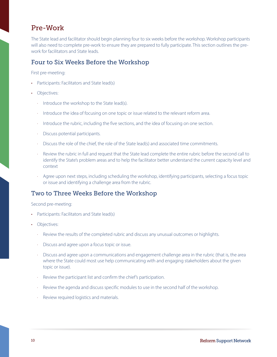### <span id="page-9-0"></span>Pre-Work

The State lead and facilitator should begin planning four to six weeks before the workshop . Workshop participants will also need to complete pre-work to ensure they are prepared to fully participate. This section outlines the prework for facilitators and State leads.

#### Four to Six Weeks Before the Workshop

First pre-meeting:

- Participants: Facilitators and State lead(s)
- Objectives:
	- · Introduce the workshop to the State lead(s) .
	- Introduce the idea of focusing on one topic or issue related to the relevant reform area.
	- Introduce the rubric, including the five sections, and the idea of focusing on one section.
	- · Discuss potential participants.
	- Discuss the role of the chief, the role of the State lead(s) and associated time commitments.
	- Review the rubric in full and request that the State lead complete the entire rubric before the second call to identify the State's problem areas and to help the facilitator better understand the current capacity level and context
	- Agree upon next steps, including scheduling the workshop, identifying participants, selecting a focus topic or issue and identifying a challenge area from the rubric.

#### Two to Three Weeks Before the Workshop

#### Second pre-meeting:

- Participants: Facilitators and State lead(s)
- Objectives:
	- Review the results of the completed rubric and discuss any unusual outcomes or highlights.
	- Discuss and agree upon a focus topic or issue.
	- Discuss and agree upon a communications and engagement challenge area in the rubric (that is, the area where the State could most use help communicating with and engaging stakeholders about the given topic or issue).
	- Review the participant list and confirm the chief's participation.
	- Review the agenda and discuss specific modules to use in the second half of the workshop.
	- Review required logistics and materials.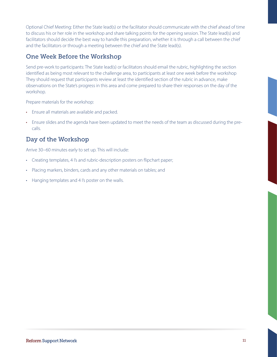Optional Chief Meeting: Either the State lead(s) or the facilitator should communicate with the chief ahead of time to discuss his or her role in the workshop and share talking points for the opening session. The State lead(s) and facilitators should decide the best way to handle this preparation, whether it is through a call between the chief and the facilitators or through a meeting between the chief and the State lead(s).

### One Week Before the Workshop

Send pre-work to participants: The State lead(s) or facilitators should email the rubric, highlighting the section identified as being most relevant to the challenge area, to participants at least one week before the workshop They should request that participants review at least the identified section of the rubric in advance, make observations on the State's progress in this area and come prepared to share their responses on the day of the workshop.

Prepare materials for the workshop:

- Ensure all materials are available and packed.
- Ensure slides and the agenda have been updated to meet the needs of the team as discussed during the precalls.

### Day of the Workshop

Arrive 30−60 minutes early to set up . This will include:

- Creating templates, 4 I's and rubric-description posters on flipchart paper;
- Placing markers, binders, cards and any other materials on tables; and
- Hanging templates and 4 I's poster on the walls.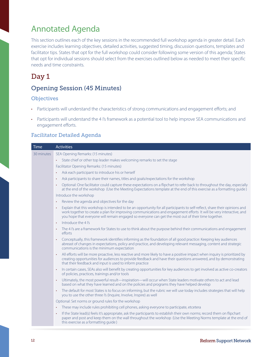### <span id="page-11-0"></span>Annotated Agenda

This section outlines each of the key sessions in the recommended full workshop agenda in greater detail . Each exercise includes learning objectives, detailed activities, suggested timing, discussion questions, templates and facilitator tips. States that opt for the full workshop could consider following some version of this agenda; States that opt for individual sessions should select from the exercises outlined below as needed to meet their specific needs and time constraints.

### <span id="page-11-1"></span>Day 1

### Opening Session (45 Minutes)

#### **Objectives**

- Participants will understand the characteristics of strong communications and engagement efforts; and
- Participants will understand the 4 I's framework as a potential tool to help improve SEA communications and engagement efforts.

#### Facilitator Detailed Agenda

| <b>Time</b> | <b>Activities</b>                                                                                                                                                                                                                                                                                                                                        |
|-------------|----------------------------------------------------------------------------------------------------------------------------------------------------------------------------------------------------------------------------------------------------------------------------------------------------------------------------------------------------------|
| 30 minutes  | SEA Opening Remarks: (15 minutes)                                                                                                                                                                                                                                                                                                                        |
|             | State chief or other top leader makes welcoming remarks to set the stage<br>$\bullet$ .                                                                                                                                                                                                                                                                  |
|             | Facilitator Opening Remarks: (15 minutes)                                                                                                                                                                                                                                                                                                                |
|             | Ask each participant to introduce his or herself<br>$\bullet$                                                                                                                                                                                                                                                                                            |
|             | Ask participants to share their names, titles and goals/expectations for the workshop                                                                                                                                                                                                                                                                    |
|             | Optional: One facilitator could capture these expectations on a flipchart to refer back to throughout the day, especially<br>$\bullet$<br>at the end of the workshop (Use the Meeting Expectations template at the end of this exercise as a formatting quide)                                                                                           |
|             | Introduce the workshop                                                                                                                                                                                                                                                                                                                                   |
|             | Review the agenda and objectives for the day<br>$\bullet$                                                                                                                                                                                                                                                                                                |
|             | Explain that this workshop is intended to be an opportunity for all participants to self-reflect, share their opinions and<br>work together to create a plan for improving communications and engagement efforts It will be very interactive, and<br>you hope that everyone will remain engaged so everyone can get the most out of their time together. |
|             | Introduce the 4 I's                                                                                                                                                                                                                                                                                                                                      |
|             | The 4 I's are a framework for States to use to think about the purpose behind their communications and engagement<br>efforts                                                                                                                                                                                                                             |
|             | Conceptually, this framework identifies informing as the foundation of all good practice: Keeping key audiences<br>$\bullet$<br>abreast of changes in expectations, policy and practice, and developing relevant messaging, content and strategic<br>communications is the minimum expectation                                                           |
|             | All efforts will be more proactive, less reactive and more likely to have a positive impact when inquiry is prioritized by<br>creating opportunities for audiences to provide feedback and have their questions answered, and by demonstrating<br>that their feedback and input is used to inform practice                                               |
|             | In certain cases, SEAs also will benefit by creating opportunities for key audiences to get involved as active co-creators<br>$\bullet$<br>of policies, practices, trainings and/or tools                                                                                                                                                                |
|             | Ultimately, the most powerful result—inspiration—will occur when State leaders motivate others to act and lead<br>$\bullet$<br>based on what they have learned and on the policies and programs they have helped develop                                                                                                                                 |
|             | The default for most States is to focus on informing, but the rubric we will use today includes strategies that will help<br>$\bullet$<br>you to use the other three I's (Inquire, Involve, Inspire) as well                                                                                                                                             |
|             | Optional: Set norms or ground rules for the workshop                                                                                                                                                                                                                                                                                                     |
|             | These may include rules prohibiting cell phones, asking everyone to participate, etcetera<br>$\bullet$                                                                                                                                                                                                                                                   |
|             | If the State lead(s) feels it's appropriate, ask the participants to establish their own norms; record them on flipchart<br>$\bullet$<br>paper and post and keep them on the wall throughout the workshop (Use the Meeting Norms template at the end of<br>this exercise as a formatting quide)                                                          |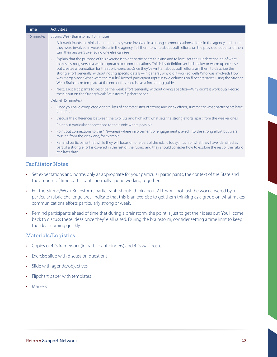| Time                     | <b>Activities</b>                                                                                                                                                                                                                                                                                                                                                                                                                                                                                                                                                                                                                                                                                              |
|--------------------------|----------------------------------------------------------------------------------------------------------------------------------------------------------------------------------------------------------------------------------------------------------------------------------------------------------------------------------------------------------------------------------------------------------------------------------------------------------------------------------------------------------------------------------------------------------------------------------------------------------------------------------------------------------------------------------------------------------------|
| 15 minutes               | Strong/Weak Brainstorm: (10 minutes)                                                                                                                                                                                                                                                                                                                                                                                                                                                                                                                                                                                                                                                                           |
|                          | Ask participants to think about a time they were involved in a strong communications efforts in the agency and a time<br>$\bullet$<br>they were involved in weak efforts in the agency Tell them to write about both efforts on the provided paper and then<br>turn their answers over so no one else can see                                                                                                                                                                                                                                                                                                                                                                                                  |
|                          | Explain that the purpose of this exercise is to get participants thinking and to level-set their understanding of what<br>$\bullet$<br>makes a strong versus a weak approach to communications This is by definition an ice breaker or warm up exercise,<br>but creates a foundation for the rubric exercise. Once they've written about both efforts ask them to describe the<br>strong effort generally, without noting specific details—In general, why did it work so well? Who was involved? How<br>was it organized? What were the results? Record participant input in two columns on flipchart paper, using the Strong/<br>Weak Brainstorm template at the end of this exercise as a formatting quide. |
|                          | Next, ask participants to describe the weak effort generally, without giving specifics—Why didn't it work out? Record<br>$\bullet$<br>their input on the Strong/Weak Brainstorm flipchart paper                                                                                                                                                                                                                                                                                                                                                                                                                                                                                                                |
|                          | Debrief: (5 minutes)                                                                                                                                                                                                                                                                                                                                                                                                                                                                                                                                                                                                                                                                                           |
|                          | Once you have completed general lists of characteristics of strong and weak efforts, summarize what participants have<br>$\bullet$<br>identified                                                                                                                                                                                                                                                                                                                                                                                                                                                                                                                                                               |
|                          | Discuss the differences between the two lists and highlight what sets the strong efforts apart from the weaker ones<br>$\bullet$                                                                                                                                                                                                                                                                                                                                                                                                                                                                                                                                                                               |
|                          | Point out particular connections to the rubric where possible<br>$\bullet$                                                                                                                                                                                                                                                                                                                                                                                                                                                                                                                                                                                                                                     |
|                          | Point out connections to the 4 I's-areas where involvement or engagement played into the strong effort but were<br>$\bullet$<br>missing from the weak one, for example                                                                                                                                                                                                                                                                                                                                                                                                                                                                                                                                         |
|                          | Remind participants that while they will focus on one part of the rubric today, much of what they have identified as<br>$\bullet$<br>part of a strong effort is covered in the rest of the rubric, and they should consider how to explore the rest of the rubric<br>at a later date                                                                                                                                                                                                                                                                                                                                                                                                                           |
| <b>Facilitator Notes</b> |                                                                                                                                                                                                                                                                                                                                                                                                                                                                                                                                                                                                                                                                                                                |
| $\bullet$                | Set expectations and norms only as appropriate for your particular participants, the context of the State and                                                                                                                                                                                                                                                                                                                                                                                                                                                                                                                                                                                                  |

- For the Strong/Weak Brainstorm, participants should think about ALL work, not just the work covered by a particular rubric challenge area . Indicate that this is an exercise to get them thinking as a group on what makes communications efforts particularly strong or weak .
- Remind participants ahead of time that during a brainstorm, the point is just to get their ideas out. You'll come back to discuss these ideas once they're all raised . During the brainstorm, consider setting a time limit to keep the ideas coming quickly.

#### Materials/Logistics

• Copies of 4 I's framework (in participant binders) and 4 I's wall poster

the amount of time participants normally spend working together.

- • Exercise slide with discussion questions
- Slide with agenda/objectives
- • Flipchart paper with templates
- Markers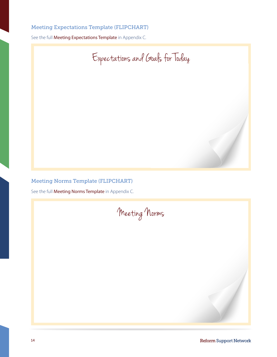#### Meeting Expectations Template (FLIPCHART)

See the full [Meeting Expectations Template](#page-48-0) in Appendix C.



#### Meeting Norms Template (FLIPCHART)

See the full **[Meeting Norms Template](#page-48-1)** in Appendix C.

Meeting Norms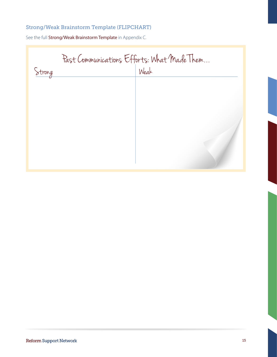#### Strong/Weak Brainstorm Template (FLIPCHART)

See the full [Strong/Weak Brainstorm Template](#page--1-0) in Appendix C.

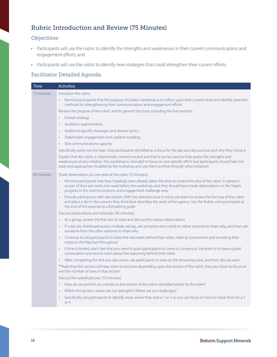### Rubric Introduction and Review (75 Minutes)

#### **Objectives**

- Participants will use the rubric to identify the strengths and weaknesses in their current communications and engagement efforts; and
- Participants will use the rubric to identify new strategies that could strengthen their current efforts.

#### Facilitator Detailed Agenda

| <b>Activities</b>                                                                                                                                                                                                                                                                                                                            |
|----------------------------------------------------------------------------------------------------------------------------------------------------------------------------------------------------------------------------------------------------------------------------------------------------------------------------------------------|
| Introduce the rubric:                                                                                                                                                                                                                                                                                                                        |
| Remind participants that the purpose of today's workshop is to reflect upon their current work and identify potential<br>$\bullet$<br>methods for strengthening their communications and engagement efforts                                                                                                                                  |
| Review the purpose of the rubric and its general structure, including the five sections:                                                                                                                                                                                                                                                     |
| Overall strategy<br>$\bullet$                                                                                                                                                                                                                                                                                                                |
| Audience segmentation<br>$\bullet$                                                                                                                                                                                                                                                                                                           |
| Audience-specific messages and diverse tactics<br>$\bullet$                                                                                                                                                                                                                                                                                  |
| Stakeholder engagement and coalition building<br>$\bullet$                                                                                                                                                                                                                                                                                   |
| SEA communications capacity<br>$\bullet$                                                                                                                                                                                                                                                                                                     |
| Specifically point out the topic that participants identified as a focus for the day and discuss how and why they chose it                                                                                                                                                                                                                   |
| Explain that the rubric is intentionally content-neutral and that it can be used to help assess the strengths and<br>weaknesses of any initiative The workshop is intended to focus on one specific effort, but participants should take the<br>tools and approaches modeled at the workshop and use them to think through other initiatives |
| Share observations on one area of the rubric: (5 minutes)                                                                                                                                                                                                                                                                                    |
| Remind participants that they hopefully have already taken the time to review this area of the rubric in advance<br>$\bullet$<br>as part of their pre-work one week before the workshop, and they should have made observations on the State's<br>progress in the communications and engagement challenge area                               |
| Provide participants with dot stickers With the selected issue in mind, ask them to review the first row of the rubric<br>and place a dot in the column they think best describes the work of the agency Use the Rubric voting template at<br>the end of this exercise as a formatting quide                                                 |
| Discuss observations and rationale: (45 minutes)                                                                                                                                                                                                                                                                                             |
| As a group, review the first row of votes and discuss the various observations<br>$\bullet$                                                                                                                                                                                                                                                  |
| If votes are distributed across multiple ratings, ask someone who voted on either extreme to share why, and then ask<br>$\bullet$<br>someone from the other extreme to share why                                                                                                                                                             |
| Continue to ask participants to share the rationales behind their votes, making connections and recording their<br>$\ddot{\phantom{0}}$<br>notes on the flipchart throughout                                                                                                                                                                 |
| If time is limited, don't feel that you need to push participants to come to consensus; the point is to have a good<br>$\bullet$<br>conversation and record notes about the reasoning behind their votes                                                                                                                                     |
| After completing the first-row discussion, ask participants to vote on the remaining rows, and then discuss each<br>$\bullet$                                                                                                                                                                                                                |
| **Note that this section will take more or less time depending upon the section of the rubric that you chose to focus on<br>and the number of rows in that section                                                                                                                                                                           |
| Discuss the overall picture: (10 minutes)                                                                                                                                                                                                                                                                                                    |
| How do we perform as a whole on the section of the rubric identified earlier by the team?<br>$\ddot{\phantom{0}}$                                                                                                                                                                                                                            |
| Within this section, where are our strengths? Where are our challenges?<br>$\bullet$                                                                                                                                                                                                                                                         |
| Specifically ask participants to identify areas where they rank a 1 or 2 so you can focus on how to move them to a 3<br>$\bullet$<br>or $4$                                                                                                                                                                                                  |
|                                                                                                                                                                                                                                                                                                                                              |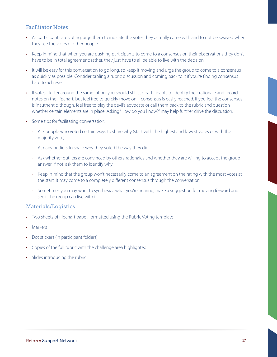#### Facilitator Notes

- • As participants are voting, urge them to indicate the votes they actually came with and to not be swayed when they see the votes of other people.
- Keep in mind that when you are pushing participants to come to a consensus on their observations they don't have to be in total agreement; rather, they just have to all be able to live with the decision.
- • It will be easy for this conversation to go long, so keep it moving and urge the group to come to a consensus as quickly as possible . Consider tabling a rubric discussion and coming back to it if you're finding consensus hard to achieve.
- If votes cluster around the same rating, you should still ask participants to identify their rationale and record notes on the flipchart, but feel free to quickly move on if consensus is easily reached . If you feel the consensus is inauthentic, though, feel free to play the devil's advocate or call them back to the rubric and question whether certain elements are in place. Asking "How do you know?" may help further drive the discussion.
- Some tips for facilitating conversation:
	- · Ask people who voted certain ways to share why (start with the highest and lowest votes or with the majority vote).
	- · Ask any outliers to share why they voted the way they did
	- · Ask whether outliers are convinced by others' rationales and whether they are willing to accept the group answer If not, ask them to identify why.
	- · Keep in mind that the group won't necessarily come to an agreement on the rating with the most votes at the start It may come to a completely different consensus through the conversation.
	- · Sometimes you may want to synthesize what you're hearing, make a suggestion for moving forward and see if the group can live with it.

#### Materials/Logistics

- Two sheets of flipchart paper, formatted using the Rubric Voting template
- Markers
- Dot stickers (in participant folders)
- Copies of the full rubric with the challenge area highlighted
- Slides introducing the rubric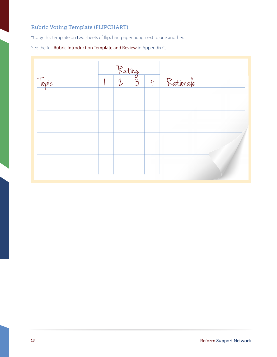### Rubric Voting Template (FLIPCHART)

\*Copy this template on two sheets of flipchart paper hung next to one another.

See the full **[Rubric Introduction Template and Review](#page-50-0)** in Appendix C.

| Topic |  | $Rating 2   3$ | $\frac{4}{1}$ | Rationale |
|-------|--|----------------|---------------|-----------|
|       |  |                |               |           |
|       |  |                |               |           |
|       |  |                |               |           |
|       |  |                |               |           |
|       |  |                |               |           |
|       |  |                |               |           |
|       |  |                |               |           |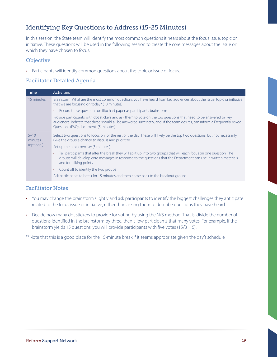### Identifying Key Questions to Address (15-25 Minutes)

In this session, the State team will identify the most common questions it hears about the focus issue, topic or initiative. These questions will be used in the following session to create the core messages about the issue on which they have chosen to focus.

#### **Objective**

• Participants will identify common questions about the topic or issue of focus.

#### Facilitator Detailed Agenda

| Time                              | <b>Activities</b>                                                                                                                                                                                                                                                                   |
|-----------------------------------|-------------------------------------------------------------------------------------------------------------------------------------------------------------------------------------------------------------------------------------------------------------------------------------|
| 15 minutes                        | Brainstorm: What are the most common questions you have heard from key audiences about the issue, topic or initiative<br>that we are focusing on today? (10 minutes)                                                                                                                |
|                                   | Record these questions on flipchart paper as participants brainstorm<br>$\bullet$                                                                                                                                                                                                   |
|                                   | Provide participants with dot stickers and ask them to vote on the top questions that need to be answered by key<br>audiences Indicate that these should all be answered succinctly, and if the team desires, can inform a Frequently Asked<br>Questions (FAQ) document (5 minutes) |
| $5 - 10$<br>minutes<br>(optional) | Select two questions to focus on for the rest of the day These will likely be the top two questions, but not necessarily<br>Give the group a chance to discuss and prioritize                                                                                                       |
|                                   | Set up the next exercise: (5 minutes)                                                                                                                                                                                                                                               |
|                                   | Tell participants that after the break they will split up into two groups that will each focus on one question The<br>$\bullet$<br>groups will develop core messages in response to the questions that the Department can use in written materials<br>and for talking points        |
|                                   | Count off to identify the two groups<br>٠                                                                                                                                                                                                                                           |
|                                   | Ask participants to break for 15 minutes and then come back to the breakout groups                                                                                                                                                                                                  |

#### Facilitator Notes

- • You may change the brainstorm slightly and ask participants to identify the biggest challenges they anticipate related to the focus issue or initiative, rather than asking them to describe questions they have heard.
- Decide how many dot stickers to provide for voting by using the N/3 method. That is, divide the number of questions identified in the brainstorm by three, then allow participants that many votes . For example, if the brainstorm yields 15 questions, you will provide participants with five votes  $(15/3 = 5)$ .

\*\*Note that this is a good place for the 15-minute break if it seems appropriate given the day's schedule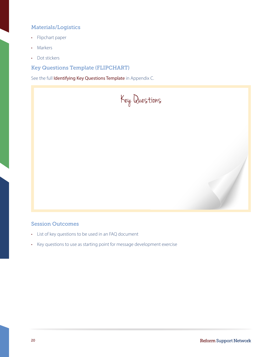#### Materials/Logistics

- Flipchart paper
- Markers
- Dot stickers

#### Key Questions Template (FLIPCHART)

See the full [Identifying Key Questions Template](#page-51-0) in Appendix C.



#### Session Outcomes

- List of key questions to be used in an FAQ document
- Key questions to use as starting point for message development exercise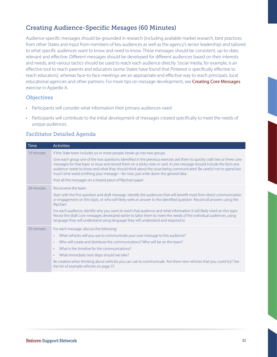### Creating Audience-Specific Mesages (60 Minutes)

Audience-specific messages should be grounded in research (including available market research, best practices from other States and input from members of key audiences as well as the agency's senior leadership) and tailored to what specific audiences want to know and need to know . These messages should be consistent, up-to-date, relevant and effective . Different messages should be developed for different audiences based on their interests and needs, and various tactics should be used to reach each audience directly. Social media, for example, is an effective tool to reach parents and educators (some States have found that Pinterest is specifically effective to reach educators), whereas face-to-face meetings are an appropriate and effective way to reach principals, local educational agencies and other partners. For more tips on message development, see Creating Core Messages exercise in Appedix A.

#### **Objectives**

- Participants will consider what information their primary audiences need
- • Participants will contribute to the initial development of messages created specifically to meet the needs of unique audiences.

#### Facilitator Detailed Agenda

| Time       | <b>Activities</b>                                                                                                                                                                                                                                                                                                                                                                                                                                                                                                      |
|------------|------------------------------------------------------------------------------------------------------------------------------------------------------------------------------------------------------------------------------------------------------------------------------------------------------------------------------------------------------------------------------------------------------------------------------------------------------------------------------------------------------------------------|
| 10 minutes | If the State team includes six or more people, break up into two groups                                                                                                                                                                                                                                                                                                                                                                                                                                                |
|            | Give each group one of the two questions identified in the previous exercise; ask them to quickly craft two or three core<br>messages for that topic or issue and record them on a sticky note or card A core message should include the facts any<br>audience needs to know and what they should think about the issue being communicated Be careful not to spend too<br>much time word-smithing your message—for now, just write down the general idea<br>Post all the messages on a shared piece of flipchart paper |
| 20 minutes | Reconvene the team                                                                                                                                                                                                                                                                                                                                                                                                                                                                                                     |
|            | Start with the first question and draft message Identify the audiences that will benefit most from direct communication<br>or engagement on this topic, or who will likely seek an answer to the identified question Record all answers using the<br>flipchart                                                                                                                                                                                                                                                         |
|            | For each audience, identify why you want to reach that audience and what information it will likely need on this topic<br>Revise the draft core messages developed earlier to tailor them to meet the needs of the individual audiences, using<br>language they will understand using language they will understand and respond to                                                                                                                                                                                     |
| 25 minutes | For each message, discuss the following:                                                                                                                                                                                                                                                                                                                                                                                                                                                                               |
|            | What vehicles will you use to communicate your core message to this audience?<br>$\bullet$                                                                                                                                                                                                                                                                                                                                                                                                                             |
|            | Who will create and distribute the communications? Who will be on the team?<br>$\bullet$                                                                                                                                                                                                                                                                                                                                                                                                                               |
|            | What is the timeline for the communications?<br>$\bullet$                                                                                                                                                                                                                                                                                                                                                                                                                                                              |
|            | What immediate next steps should we take?<br>$\bullet$                                                                                                                                                                                                                                                                                                                                                                                                                                                                 |
|            | Be creative when thinking about vehicles you can use to communicate Are there new vehicles that you could try? See<br>the list of example vehicles on page 37                                                                                                                                                                                                                                                                                                                                                          |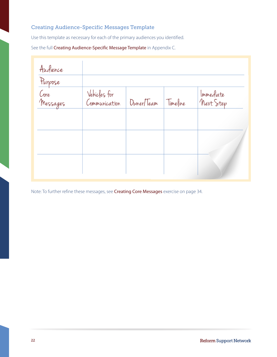#### Creating Audience-Specific Messages Template

Use this template as necessary for each of the primary audiences you identified.

See the full [Creating Audience-Specific Message Template](#page-52-0) in Appendix C.

| Audience<br>Purpose |                               |            |          |                        |
|---------------------|-------------------------------|------------|----------|------------------------|
| Core<br>Messages    | Vehicles for<br>Communication | Owner/Team | Timefine | Immediate<br>Next Step |
|                     |                               |            |          |                        |
|                     |                               |            |          |                        |
|                     |                               |            |          |                        |
|                     |                               |            |          |                        |
|                     |                               |            |          |                        |

Note: To further refine these messages, see [Creating Core Messages](#page-33-0) exercise on page 34.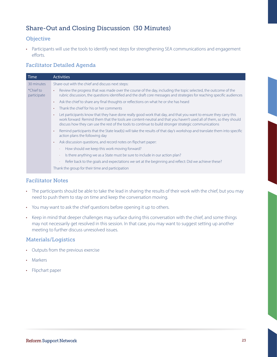### Share-Out and Closing Discussion (30 Minutes)

#### **Objective**

• Participants will use the tools to identify next steps for strengthening SEA communications and engagement efforts.

#### Facilitator Detailed Agenda

| <b>Time</b>              | <b>Activities</b>                                                                                                                                                                                                                                                                                                                                           |
|--------------------------|-------------------------------------------------------------------------------------------------------------------------------------------------------------------------------------------------------------------------------------------------------------------------------------------------------------------------------------------------------------|
| 30 minutes               | Share-out with the chief and discuss next steps:                                                                                                                                                                                                                                                                                                            |
| *Chief to<br>participate | Review the progress that was made over the course of the day, including the topic selected, the outcome of the<br>$\bullet$<br>rubric discussion, the questions identified and the draft core messages and strategies for reaching specific audiences                                                                                                       |
|                          | Ask the chief to share any final thoughts or reflections on what he or she has heard<br>$\bullet$                                                                                                                                                                                                                                                           |
|                          | Thank the chief for his or her comments<br>$\bullet$                                                                                                                                                                                                                                                                                                        |
|                          | Let participants know that they have done really good work that day, and that you want to ensure they carry this<br>$\bullet$<br>work forward Remind them that the tools are content-neutral and that you haven't used all of them, so they should<br>discuss how they can use the rest of the tools to continue to build stronger strategic communications |
|                          | Remind participants that the State lead(s) will take the results of that day's workshop and translate them into specific<br>$\bullet$<br>action plans the following day                                                                                                                                                                                     |
|                          | Ask discussion questions, and record notes on flipchart paper:<br>$\bullet$                                                                                                                                                                                                                                                                                 |
|                          | How should we keep this work moving forward?<br>$\bullet$                                                                                                                                                                                                                                                                                                   |
|                          | Is there anything we as a State must be sure to include in our action plan?<br>$\sim$                                                                                                                                                                                                                                                                       |
|                          | Refer back to the goals and expectations we set at the beginning and reflect: Did we achieve these?<br>$\bullet$                                                                                                                                                                                                                                            |
|                          | Thank the group for their time and participation                                                                                                                                                                                                                                                                                                            |

#### Facilitator Notes

- The participants should be able to take the lead in sharing the results of their work with the chief, but you may need to push them to stay on time and keep the conversation moving.
- You may want to ask the chief questions before opening it up to others.
- Keep in mind that deeper challenges may surface during this conversation with the chief, and some things may not necessarily get resolved in this session . In that case, you may want to suggest setting up another meeting to further discuss unresolved issues.

#### Materials/Logistics

- • Outputs from the previous exercise
- Markers
- Flipchart paper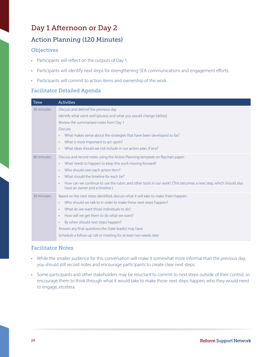### <span id="page-23-0"></span>Day 1 Afternoon or Day 2

### Action Planning (120 Minutes)

#### **Objectives**

- Participants will reflect on the outputs of Day 1.
- Participants will identify next steps for strengthening SEA communications and engagement efforts.
- Participants will commit to action items and ownership of the work.

#### Facilitator Detailed Agenda

| <b>Time</b> | <b>Activities</b>                                                                                                                                                                                                                                                                                                                                                                                                                                                    |
|-------------|----------------------------------------------------------------------------------------------------------------------------------------------------------------------------------------------------------------------------------------------------------------------------------------------------------------------------------------------------------------------------------------------------------------------------------------------------------------------|
| 30 minutes  | Discuss and debrief the previous day<br>Identify what went well (pluses) and what you would change (deltas)<br>Review the summarized notes from Day 1<br>Discuss:<br>What makes sense about the strategies that have been developed so far?<br>$\bullet$<br>What is most important to act upon?<br>$\bullet$<br>What ideas should we not include in our action plan, if any?<br>$\bullet$                                                                            |
| 60 minutes  | Discuss and record notes using the Action Planning template on flipchart paper:<br>What needs to happen to keep this work moving forward?<br>$\bullet$<br>Who should own each action item?<br>$\bullet$<br>What should the timeline for each be?<br>$\bullet$<br>How can we continue to use the rubric and other tools in our work? (This becomes a next step, which should also<br>$\bullet$<br>have an owner and a timeline)                                       |
| 30 minutes  | Based on the next steps identified, discuss what it will take to make them happen:<br>Who should we talk to in order to make these next steps happen?<br>$\bullet$<br>What do we want those individuals to do?<br>$\bullet$<br>How will we get them to do what we want?<br>$\bullet$<br>By when should next steps happen?<br>$\bullet$<br>Answer any final questions the State lead(s) may have<br>Schedule a follow-up call or meeting for at least two weeks later |

#### Facilitator Notes

- While the smaller audience for this conversation will make it somewhat more informal than the previous day, you should still record notes and encourage participants to create clear next steps.
- Some participants and other stakeholders may be reluctant to commit to next steps outside of their control, so encourage them to think through what it would take to make those next steps happen, who they would need to engage, etcetera.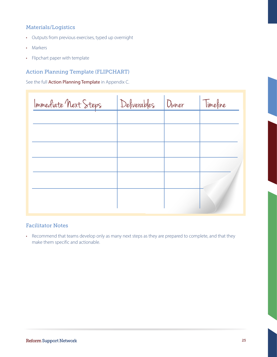#### Materials/Logistics

- • Outputs from previous exercises, typed up overnight
- Markers
- • Flipchart paper with template

#### Action Planning Template (FLIPCHART)

See the full **[Action Planning Template](#page-53-0)** in Appendix C.

| Immediate Next Steps | Deliverables Duner | Timeline |
|----------------------|--------------------|----------|
|                      |                    |          |
|                      |                    |          |
|                      |                    |          |
|                      |                    |          |
|                      |                    |          |
|                      |                    |          |

#### Facilitator Notes

• Recommend that teams develop only as many next steps as they are prepared to complete, and that they make them specific and actionable.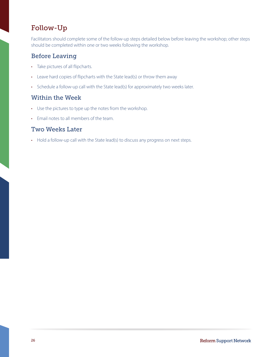### <span id="page-25-0"></span>Follow-Up

Facilitators should complete some of the follow-up steps detailed below before leaving the workshop; other steps should be completed within one or two weeks following the workshop.

### Before Leaving

- Take pictures of all flipcharts.
- Leave hard copies of flipcharts with the State lead(s) or throw them away
- Schedule a follow-up call with the State lead(s) for approximately two weeks later.

#### Within the Week

- Use the pictures to type up the notes from the workshop.
- Email notes to all members of the team.

#### Two Weeks Later

• Hold a follow-up call with the State lead(s) to discuss any progress on next steps.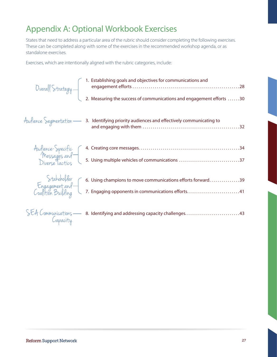## <span id="page-26-0"></span>Appendix A: Optional Workbook Exercises

States that need to address a particular area of the rubric should consider completing the following exercises . These can be completed along with some of the exercises in the recommended workshop agenda, or as standalone exercises .

Exercises, which are intentionally aligned with the rubric categories, include:

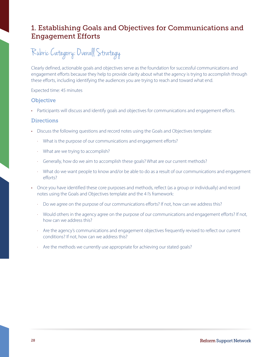### <span id="page-27-0"></span>1. Establishing Goals and Objectives for Communications and Engagement Efforts

# Rubric Category: Overall Strategy

Clearly defined, actionable goals and objectives serve as the foundation for successful communications and engagement efforts because they help to provide clarity about what the agency is trying to accomplish through these efforts, including identifying the audiences you are trying to reach and toward what end.

#### Expected time: 45 minutes

#### **Objective**

• Participants will discuss and identify goals and objectives for communications and engagement efforts.

#### **Directions**

- Discuss the following questions and record notes using the Goals and Objectives template:
	- · What is the purpose of our communications and engagement efforts?
	- · What are we trying to accomplish?
	- · Generally, how do we aim to accomplish these goals? What are our current methods?
	- · What do we want people to know and/or be able to do as a result of our communications and engagement efforts?
- Once you have identified these core purposes and methods, reflect (as a group or individually) and record notes using the Goals and Objectives template and the 4 I's framework:
	- Do we agree on the purpose of our communications efforts? If not, how can we address this?
	- · Would others in the agency agree on the purpose of our communications and engagement efforts? If not, how can we address this?
	- · Are the agency's communications and engagement objectives frequently revised to reflect our current conditions? If not, how can we address this?
	- · Are the methods we currently use appropriate for achieving our stated goals?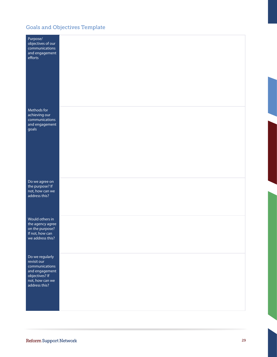### Goals and Objectives Template

| Purpose/<br>objectives of our<br>communications<br>and engagement<br>efforts                                             |  |
|--------------------------------------------------------------------------------------------------------------------------|--|
| Methods for<br>achieving our<br>communications<br>and engagement<br>goals                                                |  |
| Do we agree on<br>the purpose? If<br>not, how can we<br>address this?                                                    |  |
| Would others in<br>the agency agree<br>on the purpose?<br>If not, how can<br>we address this?                            |  |
| Do we regularly<br>revisit our<br>communications<br>and engagement<br>objectives? If<br>not, how can we<br>address this? |  |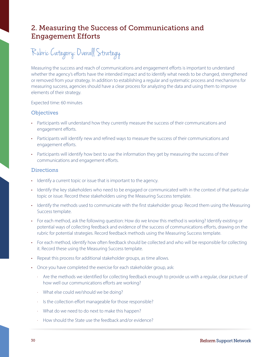### <span id="page-29-0"></span>2. Measuring the Success of Communications and Engagement Efforts

# Rubric Category: Overall Strategy

Measuring the success and reach of communications and engagement efforts is important to understand whether the agency's efforts have the intended impact and to identify what needs to be changed, strengthened or removed from your strategy . In addition to establishing a regular and systematic process and mechanisms for measuring success, agencies should have a clear process for analyzing the data and using them to improve elements of their strategy.

#### Expected time: 60 minutes

#### **Objectives**

- • Participants will understand how they currently measure the success of their communications and engagement efforts.
- • Participants will identify new and refined ways to measure the success of their communications and engagement efforts.
- Participants will identify how best to use the information they get by measuring the success of their communications and engagement efforts.

#### **Directions**

- Identify a current topic or issue that is important to the agency.
- Identify the key stakeholders who need to be engaged or communicated with in the context of that particular topic or issue. Record these stakeholders using the Measuring Success template.
- Identify the methods used to communicate with the first stakeholder group Record them using the Measuring Success template.
- For each method, ask the following question: How do we know this method is working? Identify existing or potential ways of collecting feedback and evidence of the success of communications efforts, drawing on the rubric for potential strategies . Record feedback methods using the Measuring Success template .
- For each method, identify how often feedback should be collected and who will be responsible for collecting it. Record these using the Measuring Success template.
- Repeat this process for additional stakeholder groups, as time allows.
- Once you have completed the exercise for each stakeholder group, ask:
	- · Are the methods we identified for collecting feedback enough to provide us with a regular, clear picture of how well our communications efforts are working?
	- · What else could we/should we be doing?
	- · Is the collection effort manageable for those responsible?
	- · What do we need to do next to make this happen?
	- · How should the State use the feedback and/or evidence?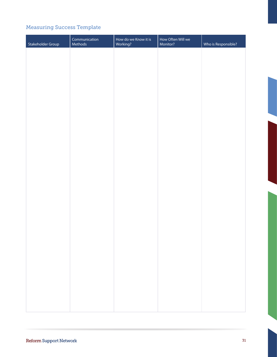### Measuring Success Template

| Stakeholder Group | Communication<br>Methods | How do we Know it is<br>Working? | How Often Will we<br>Monitor? | Who is Responsible? |
|-------------------|--------------------------|----------------------------------|-------------------------------|---------------------|
|                   |                          |                                  |                               |                     |
|                   |                          |                                  |                               |                     |
|                   |                          |                                  |                               |                     |
|                   |                          |                                  |                               |                     |
|                   |                          |                                  |                               |                     |
|                   |                          |                                  |                               |                     |
|                   |                          |                                  |                               |                     |
|                   |                          |                                  |                               |                     |
|                   |                          |                                  |                               |                     |
|                   |                          |                                  |                               |                     |
|                   |                          |                                  |                               |                     |
|                   |                          |                                  |                               |                     |
|                   |                          |                                  |                               |                     |
|                   |                          |                                  |                               |                     |
|                   |                          |                                  |                               |                     |
|                   |                          |                                  |                               |                     |
|                   |                          |                                  |                               |                     |
|                   |                          |                                  |                               |                     |
|                   |                          |                                  |                               |                     |
|                   |                          |                                  |                               |                     |
|                   |                          |                                  |                               |                     |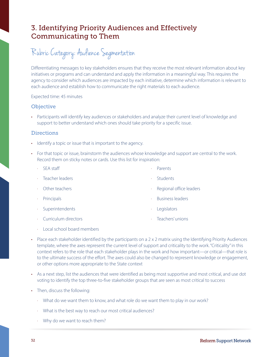### <span id="page-31-0"></span>3. Identifying Priority Audiences and Effectively Communicating to Them

Rubric Category: Audience Segmentation

each audience and establish how to communicate the right materials to each audience.<br>Expected time: 45 minutes Differentiating messages to key stakeholders ensures that they receive the most relevant information about key initiatives or programs and can understand and apply the information in a meaningful way. This requires the agency to consider which audiences are impacted by each initiative, determine which information is relevant to

#### **Objective**

• Participants will identify key audiences or stakeholders and analyze their current level of knowledge and support to better understand which ones should take priority for a specific issue.

#### **Directions**

- Identify a topic or issue that is important to the agency.
- For that topic or issue, brainstorm the audiences whose knowledge and support are central to the work. Record them on sticky notes or cards. Use this list for inspiration:

|                                           | $\cdot$ SEA staff      | ¥.        | Parents                 |
|-------------------------------------------|------------------------|-----------|-------------------------|
|                                           | · Teacher leaders      | $\bullet$ | Students                |
| $\mathcal{L}^{\text{max}}$                | Other teachers         | $\bullet$ | Regional office leaders |
| $\mathcal{L}_{\mathcal{A}}$               | Principals             | ÷         | <b>Business leaders</b> |
| $\mathcal{F}^{\mathcal{A}}_{\mathcal{A}}$ | Superintendents        | ٠         | Legislators             |
|                                           | · Curriculum directors |           | Teachers' unions        |

- · Local school board members
- Place each stakeholder identified by the participants on a  $2 \times 2$  matrix using the Identifying Priority Audiences template, where the axes represent the current level of support and criticality to the work . "Criticality" in this context refers to the role that each stakeholder plays in the work and how important—or critical—that role is to the ultimate success of the effort . The axes could also be changed to represent knowledge or engagement, or other options more appropriate to the State context
- As a next step, list the audiences that were identified as being most supportive and most critical, and use dot voting to identify the top three-to-five stakeholder groups that are seen as most critical to success
- Then, discuss the following:
	- · What do we want them to know, and what role do we want them to play in our work?
	- · What is the best way to reach our most critical audiences?
	- Why do we want to reach them?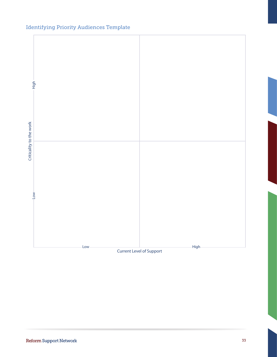### Identifying Priority Audiences Template

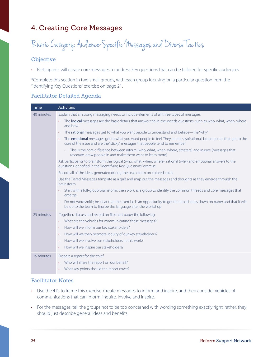### <span id="page-33-0"></span>4. Creating Core Messages

Rubric Category: Audience-Specific Messages and Diverse Tactics

#### Objective

• Participants will create core messages to address key questions that can be tailored for specific audiences.

\*Complete this section in two small groups, with each group focusing on a particular question from the "Identifying Key Questions" exercise on page 21 .

#### Facilitator Detailed Agenda

| Time       | <b>Activities</b>                                                                                                                                                                                               |
|------------|-----------------------------------------------------------------------------------------------------------------------------------------------------------------------------------------------------------------|
| 40 minutes | Explain that all strong messaging needs to include elements of all three types of messages:                                                                                                                     |
|            | The logical messages are the basic details that answer the in-the-weeds questions, such as who, what, when, where<br>$\bullet$<br>and how                                                                       |
|            | The rational messages get to what you want people to understand and believe—the "why"<br>$\bullet$                                                                                                              |
|            | The emotional messages get to what you want people to feel They are the aspirational, broad points that get to the<br>$\bullet$<br>core of the issue and are the "sticky" messages that people tend to remember |
|            | This is the core difference between inform (who, what, when, where, etcetera) and inspire (messages that<br>resonate, draw people in and make them want to learn more)                                          |
|            | Ask participants to brainstorm the logical (who, what, when, where), rational (why) and emotional answers to the<br>questions identified in the "Identifying Key Questions" exercise                            |
|            | Record all of the ideas generated during the brainstorm on colored cards                                                                                                                                        |
|            | Use the Tiered Messages template as a grid and map out the messages and thoughts as they emerge through the<br>brainstorm                                                                                       |
|            | Start with a full-group brainstorm; then work as a group to identify the common threads and core messages that<br>$\bullet$<br>emerge                                                                           |
|            | Do not wordsmith; be clear that the exercise is an opportunity to get the broad ideas down on paper and that it will<br>$\bullet$<br>be up to the team to finalize the language after the workshop              |
| 25 minutes | Together, discuss and record on flipchart paper the following:                                                                                                                                                  |
|            | What are the vehicles for communicating these messages?<br>$\bullet$                                                                                                                                            |
|            | How will we inform our key stakeholders?<br>$\bullet$                                                                                                                                                           |
|            | How will we then promote inquiry of our key stakeholders?<br>$\bullet$                                                                                                                                          |
|            | How will we involve our stakeholders in this work?<br>$\bullet$                                                                                                                                                 |
|            | How will we inspire our stakeholders?<br>$\bullet$                                                                                                                                                              |
| 15 minutes | Prepare a report for the chief:                                                                                                                                                                                 |
|            | Who will share the report on our behalf?<br>$\bullet$                                                                                                                                                           |
|            | What key points should the report cover?<br>$\bullet$                                                                                                                                                           |

#### Facilitator Notes

- Use the 4 I's to frame this exercise. Create messages to inform and inspire, and then consider vehicles of communications that can inform, inquire, involve and inspire.
- For the messages, tell the groups not to be too concerned with wording something exactly right; rather, they should just describe general ideas and benefits.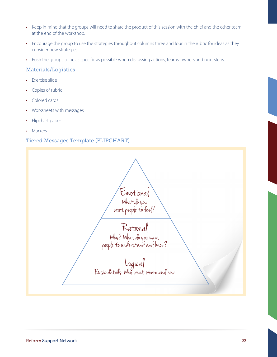- Keep in mind that the groups will need to share the product of this session with the chief and the other team at the end of the workshop.
- Encourage the group to use the strategies throughout columns three and four in the rubric for ideas as they consider new strategies.
- Push the groups to be as specific as possible when discussing actions, teams, owners and next steps.

#### Materials/Logistics

- Exercise slide
- Copies of rubric
- Colored cards
- Worksheets with messages
- Flipchart paper
- **Markers**

#### Tiered Messages Template (FLIPCHART)

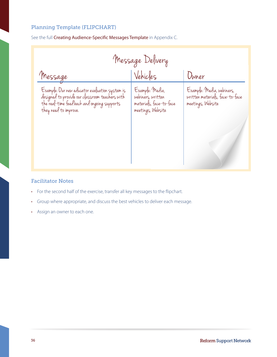#### Planning Template (FLIPCHART)

| Message Delivery                                                                                                                                                          |                                                                                      |                                                                                   |  |  |  |  |  |  |  |
|---------------------------------------------------------------------------------------------------------------------------------------------------------------------------|--------------------------------------------------------------------------------------|-----------------------------------------------------------------------------------|--|--|--|--|--|--|--|
| Message                                                                                                                                                                   | Vehicles                                                                             | Owner                                                                             |  |  |  |  |  |  |  |
| Example: Dur new educator evaluation system is<br>designed to provide our classroom teachers with<br>the real-time feedback and ongoing supports<br>they need to improve. | Example: Media,<br>webinars, written<br>materials, face-to-face<br>meetings, Website | Example: Media, webinars,<br>written materials, face-to-face<br>meetings, Website |  |  |  |  |  |  |  |

See the full [Creating Audience-Specific Messages Template](#page-52-0) in Appendix C.

#### Facilitator Notes

- For the second half of the exercise, transfer all key messages to the flipchart.
- Group where appropriate, and discuss the best vehicles to deliver each message.
- Assign an owner to each one.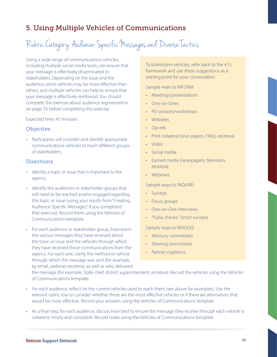### <span id="page-36-0"></span>5. Using Multiple Vehicles of Communications

# Rubric Category: Audience-Specific Messages and Diverse Tactics

Using a wide range of communications vehicles, including multiple social media tools, can ensure that your message is effectively disseminated to stakeholders. Depending on the issue and the audience, some vehicles may be more effective than others, and multiple vehicles can help to ensure that your message is effectively reinforced. You should complete the exercise about audience segmentation on page 33 before completing this exercise

#### Expected time: 45 minutes

#### **Objective**

• Participants will consider and identify appropriate communications vehicles to reach different groups of stakeholders.

#### **Directions**

- Identify a topic or issue that is important to the agency.
- Identify the audiences or stakeholder groups that will need to be reached and/or engaged regarding this topic or issue (using your results from "Creating Audience-Specific Messages," if you completed that exercise). Record them using the Vehicles of Communications template.
- For each audience or stakeholder group, brainstorm the various messages they have received about the topic or issue and the vehicles through which they have received those communications from the agency . For each one, clarify the method or vehicle through which the message was sent (for example, by email, webinar, etcetera), as well as who delivered

To brainstorm vehicles, refer back to the 4 I's framework and use these suggestions as a starting point for your conversation:

Sample ways to INFORM:

- Meetings/presentations
- One-on-Ones
- PD sessions/workshops
- **Websites**
- • Op-eds
- Print collateral (one-pagers, FAQs, etcetera)
- • Video
- Social media
- • Earned media (newspapers, television, etcetera)
- • Webinars

Sample ways to INQUIRE:

- • Surveys
- Focus groups
- One-on-One interviews
- • "Pulse checks" (short surveys)

Sample ways to INVOLVE:

- • Advisory committees
- Steering committees
- Partner coalitions

the message (for example, State chief, district superintendent, etcetera) . Record the vehicles using the Vehicles of Communications template.

- For each audience, reflect on the current vehicles used to reach them (see above for examples). Use the relevant rubric row to consider whether these are the most effective vehicles or if there are alternatives that would be more effective . Record your answers using the Vehicles of Communications template
- As a final step, for each audience, discuss how best to ensure the message they receive through each vehicle is coherent, timely and consistent. Record notes using the Vehicles of Communications template.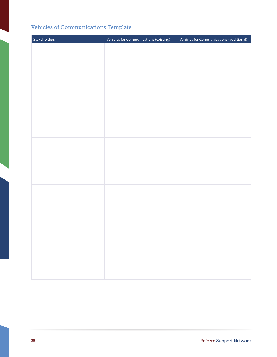### Vehicles of Communications Template

| Stakeholders | Vehicles for Communications (existing) | Vehicles for Communications (additional) |
|--------------|----------------------------------------|------------------------------------------|
|              |                                        |                                          |
|              |                                        |                                          |
|              |                                        |                                          |
|              |                                        |                                          |
|              |                                        |                                          |
|              |                                        |                                          |
|              |                                        |                                          |
|              |                                        |                                          |
|              |                                        |                                          |
|              |                                        |                                          |
|              |                                        |                                          |
|              |                                        |                                          |
|              |                                        |                                          |
|              |                                        |                                          |
|              |                                        |                                          |
|              |                                        |                                          |
|              |                                        |                                          |
|              |                                        |                                          |
|              |                                        |                                          |
|              |                                        |                                          |
|              |                                        |                                          |
|              |                                        |                                          |
|              |                                        |                                          |
|              |                                        |                                          |
|              |                                        |                                          |
|              |                                        |                                          |
|              |                                        |                                          |
|              |                                        |                                          |
|              |                                        |                                          |
|              |                                        |                                          |
|              |                                        |                                          |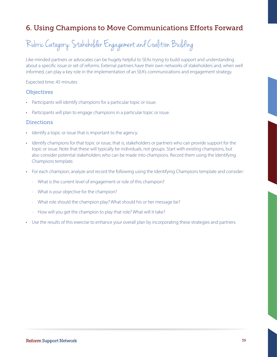### <span id="page-38-0"></span>6. Using Champions to Move Communications Efforts Forward

Rubric Category: Stakeholder Engagement and C oalition Building

informed, can play a key role in the implementation of an SEA's communications and engagement strategy.<br>Expected time: 45 minutes Like-minded partners or advocates can be hugely helpful to SEAs trying to build support and understanding about a specific issue or set of reforms. External partners have their own networks of stakeholders and, when well

#### **Objectives**

- Participants will identify champions for a particular topic or issue.
- Participants will plan to engage champions in a particular topic or issue.

#### **Directions**

- Identify a topic or issue that is important to the agency.
- Identify champions for that topic or issue, that is, stakeholders or partners who can provide support for the topic or issue . Note that these will typically be individuals, not groups . Start with existing champions, but also consider potential stakeholders who can be made into champions . Record them using the Identifying Champions template.
- • For each champion, analyze and record the following using the Identifying Champions template and consider:
	- · What is the current level of engagement or role of this champion?
	- · What is your objective for the champion?
	- · What role should the champion play? What should his or her message be?
	- · How will you get the champion to play that role? What will it take?
- Use the results of this exercise to enhance your overall plan by incorporating these strategies and partners.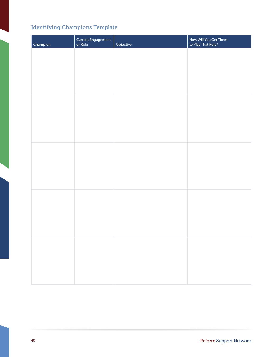### Identifying Champions Template

| Champion | Current Engagement<br>or Role | Objective | How Will You Get Them<br>to Play That Role? |
|----------|-------------------------------|-----------|---------------------------------------------|
|          |                               |           |                                             |
|          |                               |           |                                             |
|          |                               |           |                                             |
|          |                               |           |                                             |
|          |                               |           |                                             |
|          |                               |           |                                             |
|          |                               |           |                                             |
|          |                               |           |                                             |
|          |                               |           |                                             |
|          |                               |           |                                             |
|          |                               |           |                                             |
|          |                               |           |                                             |
|          |                               |           |                                             |
|          |                               |           |                                             |
|          |                               |           |                                             |
|          |                               |           |                                             |
|          |                               |           |                                             |
|          |                               |           |                                             |
|          |                               |           |                                             |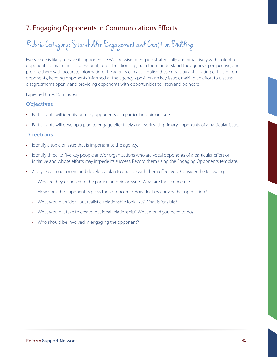### <span id="page-40-0"></span>7 . Engaging Opponents in Communications Efforts

Rubric Category: Stakeholder Engagement and C oalition Building

Every issue is likely to have its opponents. SEAs are wise to engage strategically and proactively with potential opponents to maintain a professional, cordial relationship; help them understand the agency's perspective; and provide them with accurate information. The agency can accomplish these goals by anticipating criticism from opponents, keeping opponents informed of the agency's position on key issues, making an effort to discuss disagreements openly and providing opponents with opportunities to listen and be heard.

#### Expected time: 45 minutes

#### **Objectives**

- Participants will identify primary opponents of a particular topic or issue.
- Participants will develop a plan to engage effectively and work with primary opponents of a particular issue.

#### **Directions**

- Identify a topic or issue that is important to the agency.
- Identify three-to-five key people and/or organizations who are vocal opponents of a particular effort or initiative and whose efforts may impede its success. Record them using the Engaging Opponents template.
- Analyze each opponent and develop a plan to engage with them effectively. Consider the following:
	- · Why are they opposed to the particular topic or issue? What are their concerns?
	- · How does the opponent express those concerns? How do they convey that opposition?
	- · What would an ideal, but realistic, relationship look like? What is feasible?
	- · What would it take to create that ideal relationship? What would you need to do?
	- · Who should be involved in engaging the opponent?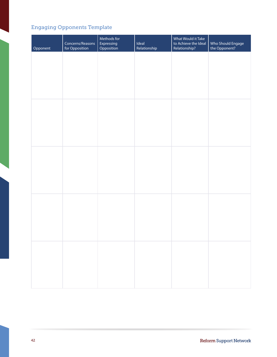### Engaging Opponents Template

| Opponent | Concerns/Reasons<br>for Opposition | Methods for<br>Expressing<br>Opposition | Ideal<br>Relationship | What Would it Take<br>to Achieve the Ideal<br>Relationship? | Who Should Engage<br>the Opponent? |
|----------|------------------------------------|-----------------------------------------|-----------------------|-------------------------------------------------------------|------------------------------------|
|          |                                    |                                         |                       |                                                             |                                    |
|          |                                    |                                         |                       |                                                             |                                    |
|          |                                    |                                         |                       |                                                             |                                    |
|          |                                    |                                         |                       |                                                             |                                    |
|          |                                    |                                         |                       |                                                             |                                    |
|          |                                    |                                         |                       |                                                             |                                    |
|          |                                    |                                         |                       |                                                             |                                    |
|          |                                    |                                         |                       |                                                             |                                    |
|          |                                    |                                         |                       |                                                             |                                    |
|          |                                    |                                         |                       |                                                             |                                    |
|          |                                    |                                         |                       |                                                             |                                    |
|          |                                    |                                         |                       |                                                             |                                    |
|          |                                    |                                         |                       |                                                             |                                    |
|          |                                    |                                         |                       |                                                             |                                    |
|          |                                    |                                         |                       |                                                             |                                    |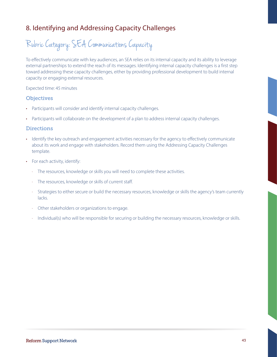### <span id="page-42-0"></span>8 . Identifying and Addressing Capacity Challenges

Rubric Category: SEA Communications Capacity

To effectively communicate with key audiences, an SEA relies on its internal capacity and its ability to leverage external partnerships to extend the reach of its messages . Identifying internal capacity challenges is a first step toward addressing these capacity challenges, either by providing professional development to build internal capacity or engaging external resources.

Expected time: 45 minutes

#### **Objectives**

- Participants will consider and identify internal capacity challenges.
- Participants will collaborate on the development of a plan to address internal capacity challenges.

#### **Directions**

- Identify the key outreach and engagement activities necessary for the agency to effectively communicate about its work and engage with stakeholders . Record them using the Addressing Capacity Challenges template.
- For each activity, identify:
	- · The resources, knowledge or skills you will need to complete these activities .
	- · The resources, knowledge or skills of current staff .
	- · Strategies to either secure or build the necessary resources, knowledge or skills the agency's team currently lacks .
	- · Other stakeholders or organizations to engage .
	- · Individual(s) who will be responsible for securing or building the necessary resources, knowledge or skills .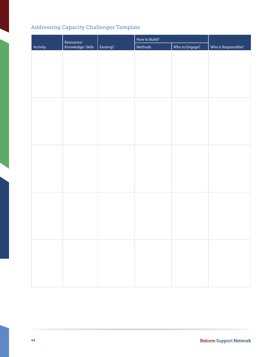### Addressing Capacity Challenges Template

|          |                                 |           | How to Build? |                |                     |
|----------|---------------------------------|-----------|---------------|----------------|---------------------|
| Activity | Resources/<br>Knowledge/ Skills | Existing? | Methods       | Who to Engage? | Who is Responsible? |
|          |                                 |           |               |                |                     |
|          |                                 |           |               |                |                     |
|          |                                 |           |               |                |                     |
|          |                                 |           |               |                |                     |
|          |                                 |           |               |                |                     |
|          |                                 |           |               |                |                     |
|          |                                 |           |               |                |                     |
|          |                                 |           |               |                |                     |
|          |                                 |           |               |                |                     |
|          |                                 |           |               |                |                     |
|          |                                 |           |               |                |                     |
|          |                                 |           |               |                |                     |
|          |                                 |           |               |                |                     |
|          |                                 |           |               |                |                     |
|          |                                 |           |               |                |                     |
|          |                                 |           |               |                |                     |
|          |                                 |           |               |                |                     |
|          |                                 |           |               |                |                     |
|          |                                 |           |               |                |                     |
|          |                                 |           |               |                |                     |
|          |                                 |           |               |                |                     |
|          |                                 |           |               |                |                     |
|          |                                 |           |               |                |                     |
|          |                                 |           |               |                |                     |
|          |                                 |           |               |                |                     |
|          |                                 |           |               |                |                     |
|          |                                 |           |               |                |                     |
|          |                                 |           |               |                |                     |
|          |                                 |           |               |                |                     |
|          |                                 |           |               |                |                     |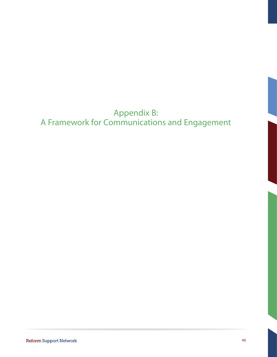## <span id="page-44-0"></span>Appendix B: A Framework for Communications and Engagement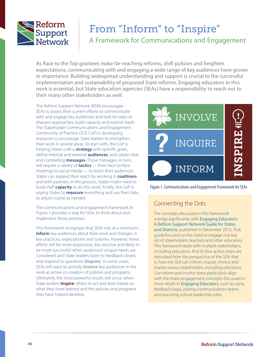

## From "Inform" to "Inspire" A Framework for Communications and Engagement

As Race to the Top grantees make far-reaching reforms, shift policies and heighten expectations, communicating with and engaging a wide range of key audiences have grown in importance. Building widespread understanding and support is crucial to the successful implementation and sustainability of proposed State reforms. Engaging educators in this work is essential, but State education agencies (SEAs) have a responsibility to reach out to their many other stakeholders as well.

The Reform Support Network (RSN) encourages SEAs to assess their current efforts to communicate with and engage key audiences and look for ways to sharpen approaches, build capacity and extend reach. The Stakeholder Communications and Engagement Community of Practice (SCE CoP) is developing resources to encourage State leaders to strengthen their work in several areas. To start with, the CoP is helping States craft a **strategy** with specific goals, define internal and external **audiences**, and create clear and compelling **messages**. Those messages, in turn, will require a variety of **tactics** — from face-to-face meetings to social media — to reach their audiences. States can expand their reach by working in **coalitions**  and with partners. In the process, States might need to build staff **capacity** to do this work. Finally, the CoP is urging States to **measure** everything and use their data to adjust course as needed.

Connecting the Dots The communications and engagement framework in Figure 1 provides a way for SEAs to think about and implement these priorities.

**Inform** key audiences about their work and changes in key practices, expectations and systems. However, these efforts will be more responsive, less reactive and likely to be more successful when audiences' unique needs are considered and State leaders listen to feedback closely and respond to questions (**Inquire**). In some cases, SEAs will want to actively **Involve** key audiences in the work as active co-creators of policies and programs. Ultimately, the most powerful results will occur when State leaders **Inspire** others to act and lead, based on what they have learned and the policies and programs they have helped develop.





The concepts discussed in this framework overlap significantly with [Engaging Educators:](http://www2.ed.gov/about/inits/ed/implementation-support-unit/tech-assist/engaging-educators.pdf)  A Reform Support Network Guide for States<br>This framework recognizes that SEAs will, at a minimum,<br>This framework recognizes that SEAs will, at a minimum, [and Districts](http://www2.ed.gov/about/inits/ed/implementation-support-unit/tech-assist/engaging-educators.pdf), published in December 2012. That guide focused on the need to engage one key set of stakeholders: teachers and other educators. This framework deals with multiple stakeholders, including educators. And its four action steps are described from the perspective of the SEA: that is, how the SEA can inform, inquire, involve and inspire various stakeholders, including educators. Our inform and involve steps particularly align with the many engagement concepts discussed in more depth in **[Engaging Educators](http://www2.ed.gov/about/inits/ed/implementation-support-unit/tech-assist/engaging-educators.pdf)**, such as using feedback loops, joining communications teams and assuming school leadership roles.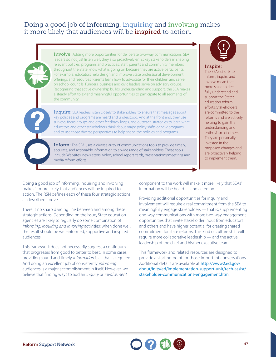#### Doing a good job of informing, inquiring and involving makes it more likely that audiences will be *inspired* to action.

**Involve:** Adding more opportunities for deliberate two-way communications, SEA leaders do not just listen well, they also proactively enlist key stakeholders in shaping relevant policies, programs and practices. Staff, parents and community members throughout the State know what is going on because they are active participants. For example, educators help design and improve State professional development offerings and resources. Parents learn how to advocate for their children and serve on school councils. Funders, business and civic leaders serve on advisory groups. Recognizing that active ownership builds understanding and support, the SEA makes a steady effort to extend meaningful opportunities to participate to all segments of the community.

Inquire: SEA leaders listen closely to stakeholders to ensure that messages about key policies and programs are heard and understood. And at the front end, they use surveys, focus groups and other feedback loops, and outreach strategies to learn what educators and other stakeholders think about major policy shifts or new programs and to use those diverse perspectives to help shape the policies and programs.

**Inform:** The SEA uses a diverse array of communications tools to provide timely, accurate, and actionable information to a wide range of stakeholders. These tools include Websites, newsletters, video, school report cards, presentations/meetings and media reform efforts.

#### Inspire:

The SEA's efforts to inform, inquire and involve mean that more stakeholders fully understand and support the State's education reform efforts. Stakeholders are committed to the reforms and are actively helping to gain the understanding and enthusiasm of others. They are personally invested in the proposed changes and are proactively helping to implement them.

Doing a good job of informing, inquiring and involving makes it more likely that audiences will be inspired to action. The RSN defines each of these four strategic actions as described above.

There is no sharp dividing line between and among these strategic actions. Depending on the issue, State education agencies are likely to regularly do some combination of informing, inquiring and involving activities; when done well, the result should be well-informed, supportive and inspired audiences.

This framework does not necessarily suggest a continuum that progresses from good to better to best. In some cases, providing sound and timely information is all that is required. And doing an excellent job of consistently informing audiences is a major accomplishment in itself. However, we believe that finding ways to add an inquiry or involvement

component to the work will make it more likely that SEAs' information will be heard — and acted on.

Providing additional opportunities for inquiry and involvement will require a real commitment from the SEA to meaningfully engage stakeholders — that is, supplementing one-way communications with more two-way engagement opportunities that invite stakeholder input from educators and others and have higher potential for creating shared commitment for state reforms. This kind of culture shift will require more collaborative leadership — and the active leadership of the chief and his/her executive team.

This framework and related resources are designed to provide a starting point for those important conversations. Additional details are available at [http://www2.ed.gov/](http://www2.ed.gov/about/inits/ed/implementation-support-unit/tech-assist/stakeholder-communications-engagement.html) [about/inits/ed/implementation-support-unit/tech-assist/](http://www2.ed.gov/about/inits/ed/implementation-support-unit/tech-assist/stakeholder-communications-engagement.html) [stakeholder-communications-engagement.html](http://www2.ed.gov/about/inits/ed/implementation-support-unit/tech-assist/stakeholder-communications-engagement.html).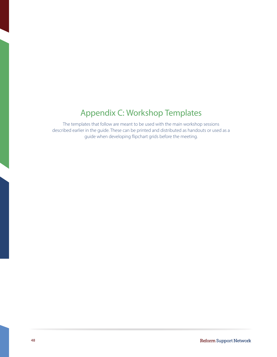## <span id="page-47-0"></span>Appendix C: Workshop Templates

The templates that follow are meant to be used with the main workshop sessions described earlier in the guide. These can be printed and distributed as handouts or used as a guide when developing flipchart grids before the meeting.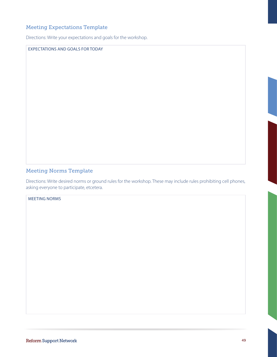#### <span id="page-48-0"></span>Meeting Expectations Template

Directions: Write your expectations and goals for the workshop.

#### EXPECTATIONS AND GOALS FOR TODAY

#### <span id="page-48-1"></span>Meeting Norms Template

Directions: Write desired norms or ground rules for the workshop . These may include rules prohibiting cell phones, asking everyone to participate, etcetera.

#### MEETING NORMS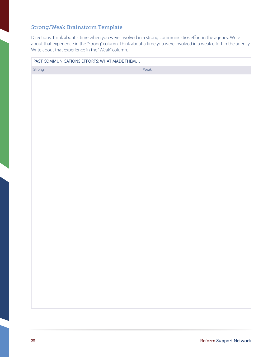#### Strong/Weak Brainstorm Template

Directions: Think about a time when you were involved in a strong communicatios effort in the agency. Write about that experience in the "Strong" column. Think about a time you were involved in a weak effort in the agency. Write about that experience in the "Weak" column.

| PAST COMMUNICATIONS EFFORTS: WHAT MADE THEM |      |  |  |  |  |  |  |
|---------------------------------------------|------|--|--|--|--|--|--|
| Strong                                      | Weak |  |  |  |  |  |  |
|                                             |      |  |  |  |  |  |  |
|                                             |      |  |  |  |  |  |  |
|                                             |      |  |  |  |  |  |  |
|                                             |      |  |  |  |  |  |  |
|                                             |      |  |  |  |  |  |  |
|                                             |      |  |  |  |  |  |  |
|                                             |      |  |  |  |  |  |  |
|                                             |      |  |  |  |  |  |  |
|                                             |      |  |  |  |  |  |  |
|                                             |      |  |  |  |  |  |  |
|                                             |      |  |  |  |  |  |  |
|                                             |      |  |  |  |  |  |  |
|                                             |      |  |  |  |  |  |  |
|                                             |      |  |  |  |  |  |  |
|                                             |      |  |  |  |  |  |  |
|                                             |      |  |  |  |  |  |  |
|                                             |      |  |  |  |  |  |  |
|                                             |      |  |  |  |  |  |  |
|                                             |      |  |  |  |  |  |  |
|                                             |      |  |  |  |  |  |  |
|                                             |      |  |  |  |  |  |  |
|                                             |      |  |  |  |  |  |  |
|                                             |      |  |  |  |  |  |  |
|                                             |      |  |  |  |  |  |  |
|                                             |      |  |  |  |  |  |  |
|                                             |      |  |  |  |  |  |  |
|                                             |      |  |  |  |  |  |  |
|                                             |      |  |  |  |  |  |  |
|                                             |      |  |  |  |  |  |  |
|                                             |      |  |  |  |  |  |  |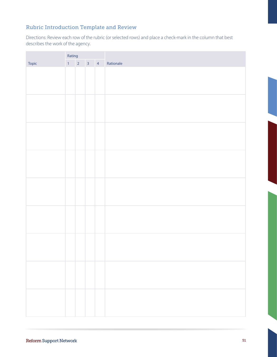#### <span id="page-50-0"></span>Rubric Introduction Template and Review

Directions: Review each row of the rubric (or selected rows) and place a check-mark in the column that best describes the work of the agency.

|       | Rating         |                |                         |                |           |
|-------|----------------|----------------|-------------------------|----------------|-----------|
| Topic | $\overline{1}$ | $\overline{2}$ | $\overline{\mathbf{3}}$ | $\overline{4}$ | Rationale |
|       |                |                |                         |                |           |
|       |                |                |                         |                |           |
|       |                |                |                         |                |           |
|       |                |                |                         |                |           |
|       |                |                |                         |                |           |
|       |                |                |                         |                |           |
|       |                |                |                         |                |           |
|       |                |                |                         |                |           |
|       |                |                |                         |                |           |
|       |                |                |                         |                |           |
|       |                |                |                         |                |           |
|       |                |                |                         |                |           |
|       |                |                |                         |                |           |
|       |                |                |                         |                |           |
|       |                |                |                         |                |           |
|       |                |                |                         |                |           |
|       |                |                |                         |                |           |
|       |                |                |                         |                |           |
|       |                |                |                         |                |           |
|       |                |                |                         |                |           |
|       |                |                |                         |                |           |
|       |                |                |                         |                |           |
|       |                |                |                         |                |           |
|       |                |                |                         |                |           |
|       |                |                |                         |                |           |
|       |                |                |                         |                |           |
|       |                |                |                         |                |           |
|       |                |                |                         |                |           |
|       |                |                |                         |                |           |
|       |                |                |                         |                |           |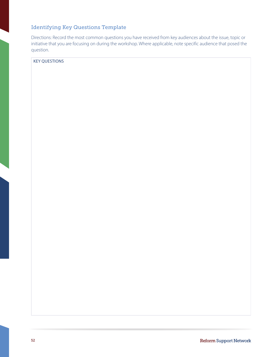#### <span id="page-51-0"></span>Identifying Key Questions Template

Directions: Record the most common questions you have received from key audiences about the issue, topic or initiative that you are focusing on during the workshop. Where applicable, note specific audience that posed the question.

KEY QUESTIONS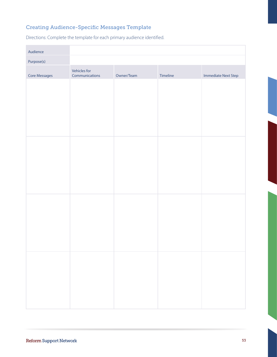### <span id="page-52-0"></span>Creating Audience-Specific Messages Template

Directions: Complete the template for each primary audience identified.

| Audience             |                                |            |          |                            |
|----------------------|--------------------------------|------------|----------|----------------------------|
| Purpose(s)           |                                |            |          |                            |
| <b>Core Messages</b> | Vehicles for<br>Communications | Owner/Team | Timeline | <b>Immediate Next Step</b> |
|                      |                                |            |          |                            |
|                      |                                |            |          |                            |
|                      |                                |            |          |                            |
|                      |                                |            |          |                            |
|                      |                                |            |          |                            |
|                      |                                |            |          |                            |
|                      |                                |            |          |                            |
|                      |                                |            |          |                            |
|                      |                                |            |          |                            |
|                      |                                |            |          |                            |
|                      |                                |            |          |                            |
|                      |                                |            |          |                            |
|                      |                                |            |          |                            |
|                      |                                |            |          |                            |
|                      |                                |            |          |                            |
|                      |                                |            |          |                            |
|                      |                                |            |          |                            |
|                      |                                |            |          |                            |
|                      |                                |            |          |                            |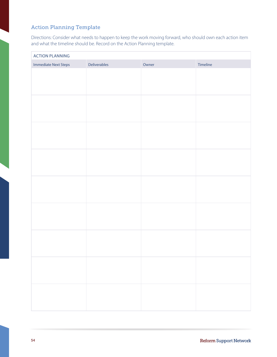### <span id="page-53-0"></span>Action Planning Template

Directions: Consider what needs to happen to keep the work moving forward, who should own each action item and what the timeline should be. Record on the Action Planning template.

| <b>ACTION PLANNING</b>      |              |       |          |  |  |  |  |
|-----------------------------|--------------|-------|----------|--|--|--|--|
| <b>Immediate Next Steps</b> | Deliverables | Owner | Timeline |  |  |  |  |
|                             |              |       |          |  |  |  |  |
|                             |              |       |          |  |  |  |  |
|                             |              |       |          |  |  |  |  |
|                             |              |       |          |  |  |  |  |
|                             |              |       |          |  |  |  |  |
|                             |              |       |          |  |  |  |  |
|                             |              |       |          |  |  |  |  |
|                             |              |       |          |  |  |  |  |
|                             |              |       |          |  |  |  |  |
|                             |              |       |          |  |  |  |  |
|                             |              |       |          |  |  |  |  |
|                             |              |       |          |  |  |  |  |
|                             |              |       |          |  |  |  |  |
|                             |              |       |          |  |  |  |  |
|                             |              |       |          |  |  |  |  |
|                             |              |       |          |  |  |  |  |
|                             |              |       |          |  |  |  |  |
|                             |              |       |          |  |  |  |  |
|                             |              |       |          |  |  |  |  |
|                             |              |       |          |  |  |  |  |
|                             |              |       |          |  |  |  |  |
|                             |              |       |          |  |  |  |  |
|                             |              |       |          |  |  |  |  |
|                             |              |       |          |  |  |  |  |
|                             |              |       |          |  |  |  |  |
|                             |              |       |          |  |  |  |  |
|                             |              |       |          |  |  |  |  |
|                             |              |       |          |  |  |  |  |
|                             |              |       |          |  |  |  |  |